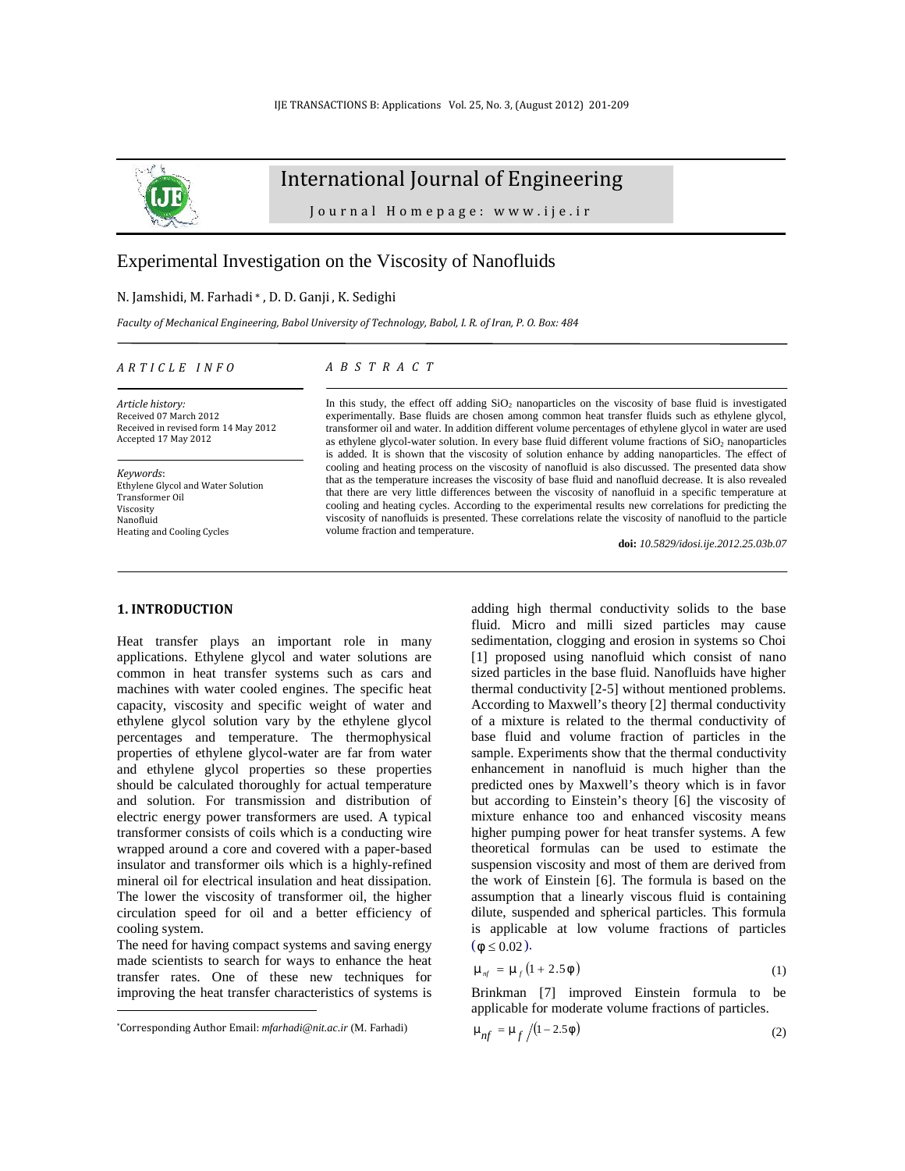

# International Journal of Engineering ernational Journal of Engineering<br>Journal Homepage: www.ije.ir<br>n on the Viscosity of Nanofluids

## Experimental Investigation on the Viscosity of Nanofluids

# N. Jamshidi, M. Farhadi \* , D. D. Ganji , K. Sedighi *A R T I C L E I N F O*

*Faculty of Mechanical Engineering, Babol University of Technology, Babol, I. R. of Iran, P. O. Box: 484 A* B Sedighi<br> *A B S T R A C T*<br> *A B S T R A C T* 

### *Article history:* Received 07 March 2012 Received in revised form 14 May 2012 Accepted 17 May 2012

*Keywords*: Ethylene Glycol and Water Solution Transformer Oil Viscosity Nanofluid Heating and Cooling Cycles

In this study, the effect off adding  $SiO<sub>2</sub>$  nanoparticles on the viscosity of base fluid is investigated experimentally. Base fluids are chosen among common heat transfer fluids such as ethylene glycol, transformer oil and water. In addition different volume percentages of ethylene glycol in water are used as ethylene glycol-water solution. In every base fluid different volume fractions of  $SiO<sub>2</sub>$  nanoparticles is added. It is shown that the viscosity of solution enhance by adding nanoparticles. The effect of cooling and heating process on the viscosity of nanofluid is also discussed. The presented data show that as the temperature increases the viscosity of base fluid and nanofluid decrease. It is also revealed that there are very little differences between the viscosity of nanofluid in a specific temperature at cooling and heating cycles. According to the experimental results new correlations for predicting the viscosity of nanofluids is presented. These correlations relate the viscosity of nanofluid to the particle volume fraction and temperature.

**doi:** *10.5829/idosi.ije.2012.25.03b.07*

## **1. INTRODUCTION<sup>1</sup>**

Heat transfer plays an important role in many applications. Ethylene glycol and water solutions are common in heat transfer systems such as cars and machines with water cooled engines. The specific heat capacity, viscosity and specific weight of water and ethylene glycol solution vary by the ethylene glycol percentages and temperature. The thermophysical properties of ethylene glycol-water are far from water and ethylene glycol properties so these properties should be calculated thoroughly for actual temperature and solution. For transmission and distribution of electric energy power transformers are used. A typical transformer consists of coils which is a conducting wire wrapped around a core and covered with a paper-based insulator and transformer oils which is a highly-refined mineral oil for electrical insulation and heat dissipation. The lower the viscosity of transformer oil, the higher circulation speed for oil and a better efficiency of cooling system.

The need for having compact systems and saving energy made scientists to search for ways to enhance the heat transfer rates. One of these new techniques for improving the heat transfer characteristics of systems is adding high thermal conductivity solids to the base fluid. Micro and milli sized particles may cause sedimentation, clogging and erosion in systems so Choi [1] proposed using nanofluid which consist of nano sized particles in the base fluid. Nanofluids have higher thermal conductivity [2-5] without mentioned problems. According to Maxwell's theory [2] thermal conductivity of a mixture is related to the thermal conductivity of base fluid and volume fraction of particles in the sample. Experiments show that the thermal conductivity enhancement in nanofluid is much higher than the predicted ones by Maxwell's theory which is in favor but according to Einstein's theory [6] the viscosity of mixture enhance too and enhanced viscosity means higher pumping power for heat transfer systems. A few theoretical formulas can be used to estimate the suspension viscosity and most of them are derived from the work of Einstein [6]. The formula is based on the assumption that a linearly viscous fluid is containing dilute, suspended and spherical particles. This formula is applicable at low volume fractions of particles  $(w \le 0.02)$ .

$$
\sim_{nf} = \sim_f \left(1 + 2.5\,\text{W}\right) \tag{1}
$$

Brinkman [7] improved Einstein formula to be applicable for moderate volume fractions of particles.

$$
\sim_{nf} = \sim_{f} / (1 - 2.5\,\text{W})
$$
\n<sup>(2)</sup>

<sup>\*</sup>Corresponding Author Email: *mfarhadi@nit.ac.ir* (M. Farhadi)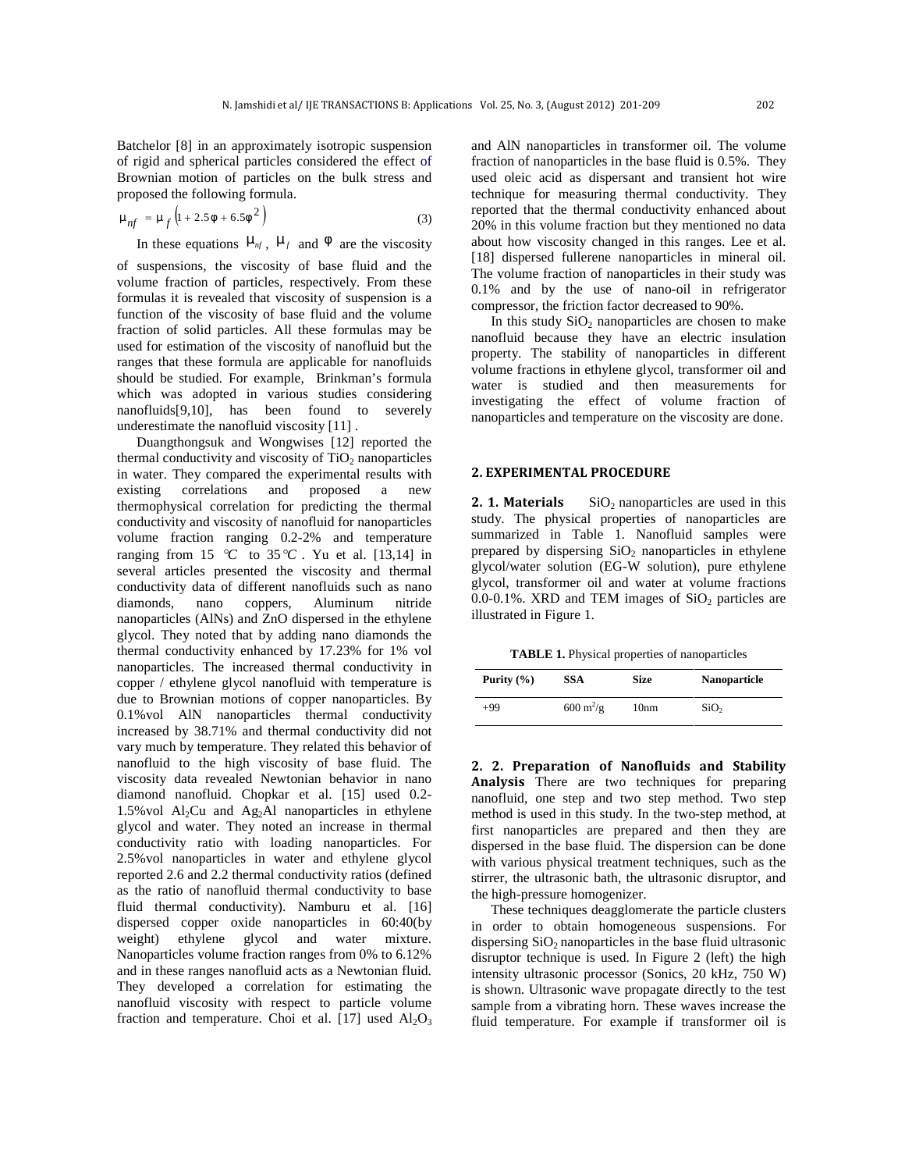Batchelor [8] in an approximately isotropic suspension of rigid and spherical particles considered the effect of Brownian motion of particles on the bulk stress and proposed the following formula.

$$
T_{nf} = T_f \left( 1 + 2.5w + 6.5w^2 \right)
$$
 reported  
(3) reported  
20% in

In these equations  $\tilde{f}_{nf}$ ,  $\tilde{f}_{f}$  and  $\tilde{f}_{f}$  are the viscosity

of suspensions, the viscosity of base fluid and the volume fraction of particles, respectively. From these formulas it is revealed that viscosity of suspension is a function of the viscosity of base fluid and the volume fraction of solid particles. All these formulas may be used for estimation of the viscosity of nanofluid but the ranges that these formula are applicable for nanofluids should be studied. For example, Brinkman's formula which was adopted in various studies considering nanofluids[9,10], has been found to severely underestimate the nanofluid viscosity [11] .

Duangthongsuk and Wongwises [12] reported the thermal conductivity and viscosity of  $TiO<sub>2</sub>$  nanoparticles in water. They compared the experimental results with existing correlations and proposed a new<br>thermophysical correlation for predicting the thermal 2.1. Materials thermophysical correlation for predicting the thermal conductivity and viscosity of nanofluid for nanoparticles volume fraction ranging 0.2-2% and temperature ranging from 15  $\degree$ C to 35  $\degree$ C. Yu et al. [13,14] in several articles presented the viscosity and thermal conductivity data of different nanofluids such as nano diamonds, nano coppers, Aluminum nitride nanoparticles (AlNs) and ZnO dispersed in the ethylene glycol. They noted that by adding nano diamonds the thermal conductivity enhanced by 17.23% for 1% vol nanoparticles. The increased thermal conductivity in copper / ethylene glycol nanofluid with temperature is due to Brownian motions of copper nanoparticles. By 0.1%vol AlN nanoparticles thermal conductivity increased by 38.71% and thermal conductivity did not vary much by temperature. They related this behavior of nanofluid to the high viscosity of base fluid. The viscosity data revealed Newtonian behavior in nano diamond nanofluid. Chopkar et al. [15] used 0.2- 1.5% vol  $Al<sub>2</sub>Cu$  and  $Ag<sub>2</sub>Al$  nanoparticles in ethylene glycol and water. They noted an increase in thermal conductivity ratio with loading nanoparticles. For 2.5%vol nanoparticles in water and ethylene glycol reported 2.6 and 2.2 thermal conductivity ratios (defined as the ratio of nanofluid thermal conductivity to base fluid thermal conductivity). Namburu et al. [16] dispersed copper oxide nanoparticles in 60:40(by weight) ethylene glycol and water mixture. Nanoparticles volume fraction ranges from 0% to 6.12% and in these ranges nanofluid acts as a Newtonian fluid. They developed a correlation for estimating the nanofluid viscosity with respect to particle volume fraction and temperature. Choi et al. [17] used  $Al_2O_3$ 

 $(1 + 2.5w + 6.5w<sup>2</sup>)$  (3) reported that the inermal conductivity emianeed about  $20\%$  in this volume fraction but they mentioned no data and AlN nanoparticles in transformer oil. The volume fraction of nanoparticles in the base fluid is 0.5%. They used oleic acid as dispersant and transient hot wire technique for measuring thermal conductivity. They reported that the thermal conductivity enhanced about about how viscosity changed in this ranges. Lee et al. [18] dispersed fullerene nanoparticles in mineral oil. The volume fraction of nanoparticles in their study was 0.1% and by the use of nano-oil in refrigerator compressor, the friction factor decreased to 90%.

> In this study  $SiO<sub>2</sub>$  nanoparticles are chosen to make nanofluid because they have an electric insulation property. The stability of nanoparticles in different volume fractions in ethylene glycol, transformer oil and water is studied and then measurements for investigating the effect of volume fraction of nanoparticles and temperature on the viscosity are done.

### **2. EXPERIMENTAL PROCEDURE**

 $SiO<sub>2</sub>$  nanoparticles are used in this study. The physical properties of nanoparticles are summarized in Table 1. Nanofluid samples were prepared by dispersing  $SiO<sub>2</sub>$  nanoparticles in ethylene glycol/water solution (EG-W solution), pure ethylene glycol, transformer oil and water at volume fractions 0.0-0.1%. XRD and TEM images of  $SiO<sub>2</sub>$  particles are illustrated in Figure 1.

**TABLE 1.** Physical properties of nanoparticles

| Purity $(\% )$ | <b>SSA</b>                        | <b>Size</b>      | <b>Nanoparticle</b> |
|----------------|-----------------------------------|------------------|---------------------|
| $+99$          | $600 \frac{\text{m}^2}{\text{g}}$ | 10 <sub>nm</sub> | SiO <sub>2</sub>    |

**2. 2. Preparation of Nanofluids and Stability Analysis** There are two techniques for preparing nanofluid, one step and two step method. Two step method is used in this study. In the two-step method, at first nanoparticles are prepared and then they are dispersed in the base fluid. The dispersion can be done with various physical treatment techniques, such as the stirrer, the ultrasonic bath, the ultrasonic disruptor, and the high-pressure homogenizer.

These techniques deagglomerate the particle clusters in order to obtain homogeneous suspensions. For dispersing  $SiO<sub>2</sub>$  nanoparticles in the base fluid ultrasonic disruptor technique is used. In Figure 2 (left) the high intensity ultrasonic processor (Sonics, 20 kHz, 750 W) is shown. Ultrasonic wave propagate directly to the test sample from a vibrating horn. These waves increase the fluid temperature. For example if transformer oil is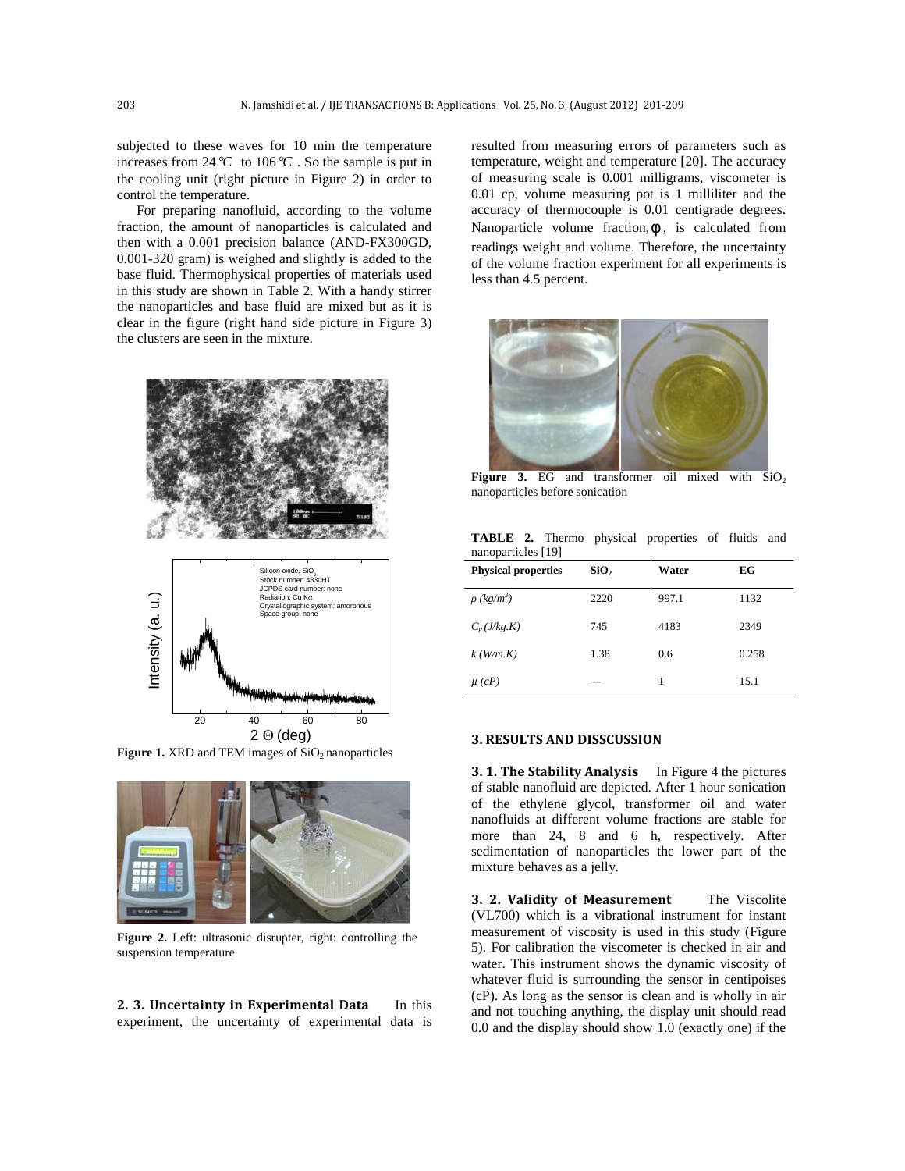subjected to these waves for 10 min the temperature increases from  $24^{\circ}$ C to  $106^{\circ}$ . So the sample is put in the cooling unit (right picture in Figure 2) in order to control the temperature.

For preparing nanofluid, according to the volume fraction, the amount of nanoparticles is calculated and then with a 0.001 precision balance (AND-FX300GD, 0.001-320 gram) is weighed and slightly is added to the base fluid. Thermophysical properties of materials used in this study are shown in Table 2. With a handy stirrer the nanoparticles and base fluid are mixed but as it is clear in the figure (right hand side picture in Figure 3) the clusters are seen in the mixture.





**Figure 1.** XRD and TEM images of SiO<sub>2</sub> nanoparticles



**Figure 2.** Left: ultrasonic disrupter, right: controlling the suspension temperature

**2. 3. Uncertainty in Experimental Data** In this experiment, the uncertainty of experimental data is resulted from measuring errors of parameters such as temperature, weight and temperature [20]. The accuracy of measuring scale is 0.001 milligrams, viscometer is 0.01 cp, volume measuring pot is 1 milliliter and the accuracy of thermocouple is 0.01 centigrade degrees. Nanoparticle volume fraction,  $W$ , is calculated from readings weight and volume. Therefore, the uncertainty of the volume fraction experiment for all experiments is less than 4.5 percent.



**Figure** 3. EG and transformer oil mixed with  $SiO<sub>2</sub>$ nanoparticles before sonication

|                    |  | <b>TABLE 2.</b> Thermo physical properties of fluids and |  |  |
|--------------------|--|----------------------------------------------------------|--|--|
| nanoparticles [19] |  |                                                          |  |  |

| <b>Physical properties</b> | SiO <sub>2</sub> | Water | EG    |
|----------------------------|------------------|-------|-------|
| $(kg/m^3)$                 | 2220             | 997.1 | 1132  |
| $C_p(J/kg.K)$              | 745              | 4183  | 2349  |
| $k$ (W/m.K)                | 1.38             | 0.6   | 0.258 |
| $\mu$ (cP)                 |                  | 1     | 15.1  |

### **3. RESULTS AND DISSCUSSION**

**3. 1. The Stability Analysis** In Figure 4 the pictures of stable nanofluid are depicted. After 1 hour sonication of the ethylene glycol, transformer oil and water nanofluids at different volume fractions are stable for more than 24, 8 and 6 h, respectively. After sedimentation of nanoparticles the lower part of the mixture behaves as a jelly.

**3. 2. Validity of Measurement** The Viscolite (VL700) which is a vibrational instrument for instant measurement of viscosity is used in this study (Figure 5). For calibration the viscometer is checked in air and water. This instrument shows the dynamic viscosity of whatever fluid is surrounding the sensor in centipoises (cP). As long as the sensor is clean and is wholly in air and not touching anything, the display unit should read 0.0 and the display should show 1.0 (exactly one) if the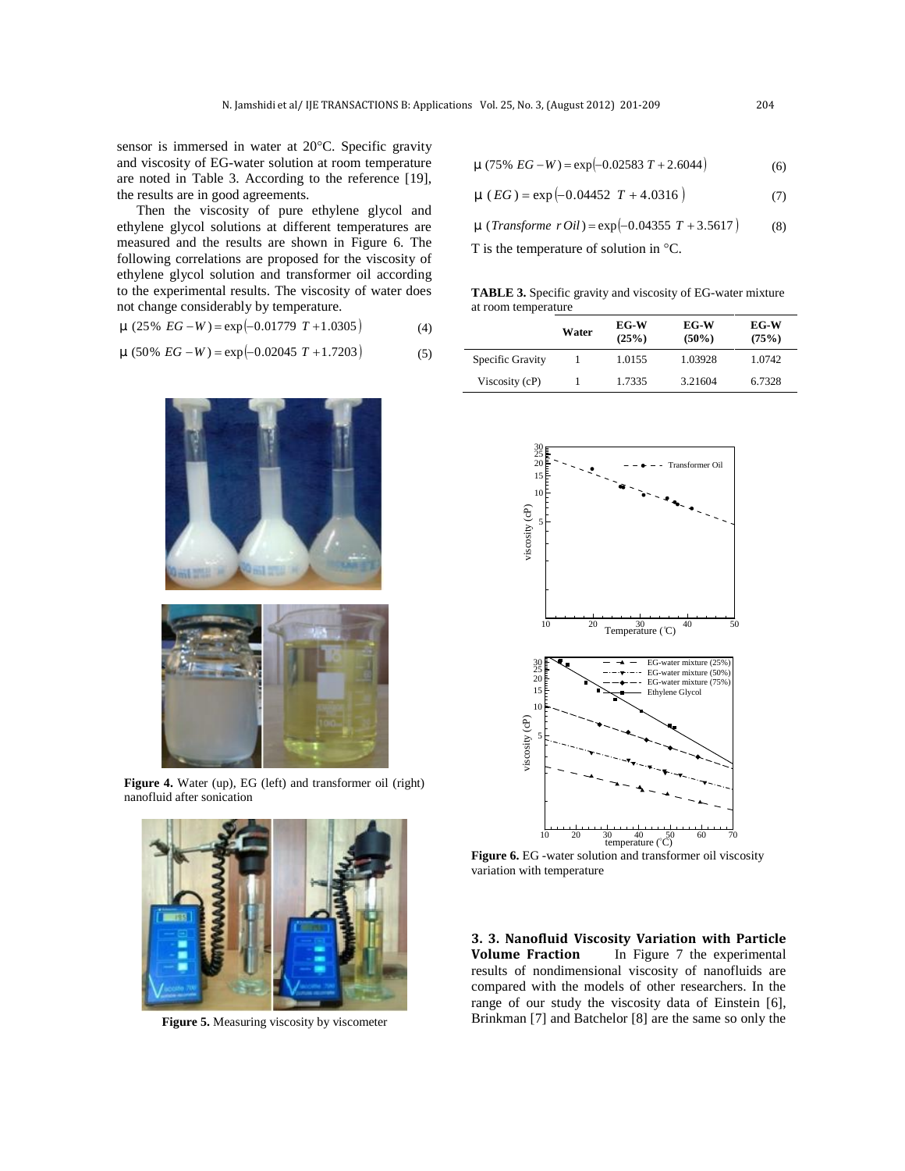sensor is immersed in water at 20°C. Specific gravity and viscosity of EG-water solution at room temperature are noted in Table 3. According to the reference [19], the results are in good agreements.

Then the viscosity of pure ethylene glycol and ethylene glycol solutions at different temperatures are measured and the results are shown in Figure 6. The following correlations are proposed for the viscosity of ethylene glycol solution and transformer oil according to the experimental results. The viscosity of water does not change considerably by temperature.

$$
\sim (25\% \text{ EG} - W) = \exp(-0.01779 \text{ T} + 1.0305) \tag{4}
$$

$$
\sim (50\% \text{ EG} - W) = \exp(-0.02045 \text{ T} + 1.7203) \tag{5}
$$



Figure 4. Water (up), EG (left) and transformer oil (right) nanofluid after sonication



**Figure 5.** Measuring viscosity by viscometer

$$
\sim (75\% \ EG - W) = \exp(-0.02583 \ T + 2.6044) \tag{6}
$$

$$
\sim (EG) = \exp(-0.04452 \ T + 4.0316) \tag{7}
$$

 $\sim$  (*Transforme r Oil*) = exp $\left(-0.04355 \, T + 3.5617\right)$  (8)

T is the temperature of solution in  $\mathrm{C}$ .

**TABLE 3.** Specific gravity and viscosity of EG-water mixture at room temperature

|                  | Water | $EG-W$<br>(25%) | EG-W<br>$(50\%)$ | EG-W<br>(75%) |
|------------------|-------|-----------------|------------------|---------------|
| Specific Gravity |       | 1.0155          | 1.03928          | 1.0742        |
| Viscosity (cP)   |       | 1.7335          | 3.21604          | 6.7328        |



**Figure 6.** EG -water solution and transformer oil viscosity variation with temperature

**3. 3. Nanofluid Viscosity Variation with Particle** In Figure 7 the experimental results of nondimensional viscosity of nanofluids are compared with the models of other researchers. In the range of our study the viscosity data of Einstein [6], Brinkman [7] and Batchelor [8] are the same so only the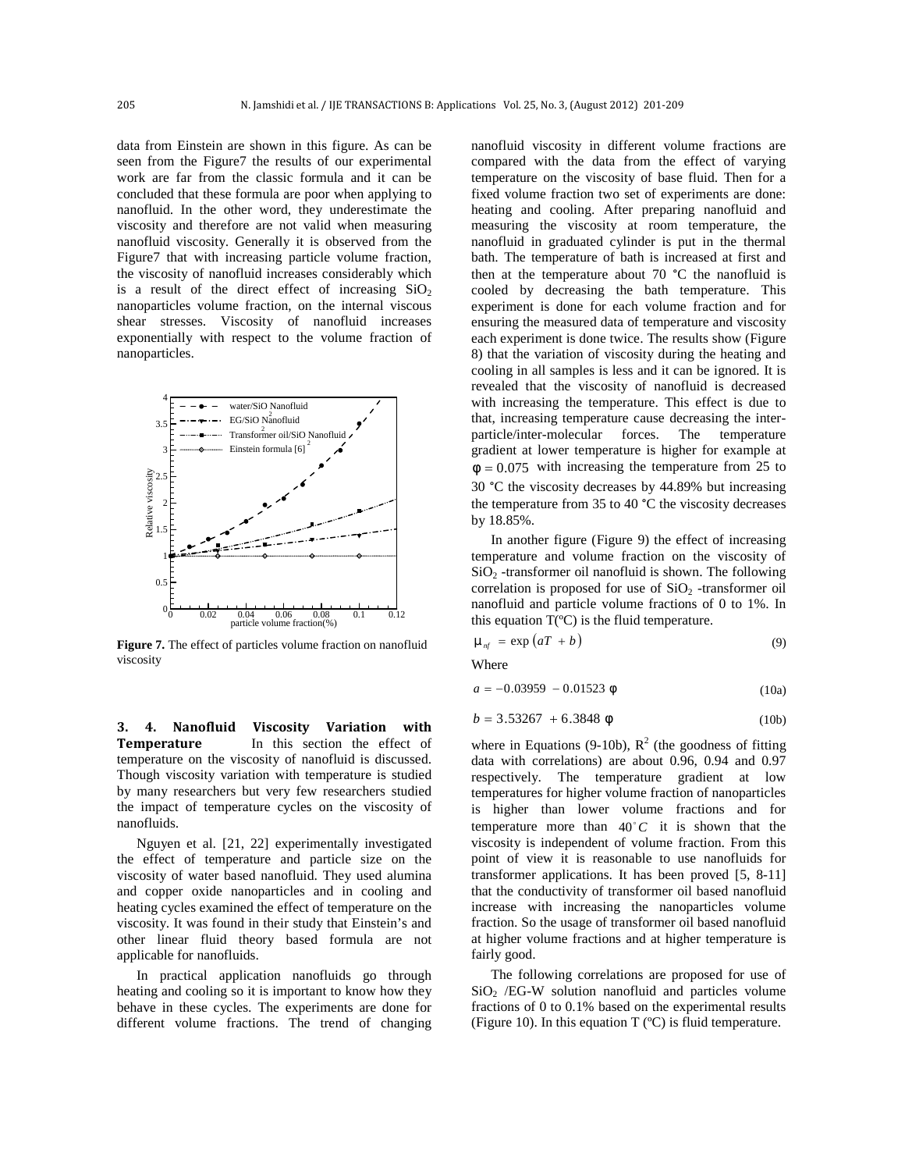data from Einstein are shown in this figure. As can be seen from the Figure7 the results of our experimental work are far from the classic formula and it can be concluded that these formula are poor when applying to nanofluid. In the other word, they underestimate the viscosity and therefore are not valid when measuring nanofluid viscosity. Generally it is observed from the Figure7 that with increasing particle volume fraction, the viscosity of nanofluid increases considerably which is a result of the direct effect of increasing  $SiO<sub>2</sub>$ nanoparticles volume fraction, on the internal viscous shear stresses. Viscosity of nanofluid increases exponentially with respect to the volume fraction of nanoparticles.



**Figure 7.** The effect of particles volume fraction on nanofluid viscosity

**3. 4. Nanofluid Viscosity Variation with Temperature** In this section the effect of temperature on the viscosity of nanofluid is discussed. Though viscosity variation with temperature is studied by many researchers but very few researchers studied the impact of temperature cycles on the viscosity of nanofluids.

Nguyen et al. [21, 22] experimentally investigated the effect of temperature and particle size on the viscosity of water based nanofluid. They used alumina and copper oxide nanoparticles and in cooling and heating cycles examined the effect of temperature on the viscosity. It was found in their study that Einstein's and other linear fluid theory based formula are not applicable for nanofluids.

In practical application nanofluids go through heating and cooling so it is important to know how they behave in these cycles. The experiments are done for different volume fractions. The trend of changing

 $4\overline{z}$   $\overline{z}$  with increasing the temperature. This effect is due to EG/SiO Nanofluid  $\bullet$  that, increasing temperature cause decreasing the inter-Transformer oil/SiO Nanofluid / particle/inter-molecular forces. The temperature nanofluid viscosity in different volume fractions are compared with the data from the effect of varying temperature on the viscosity of base fluid. Then for a fixed volume fraction two set of experiments are done: heating and cooling. After preparing nanofluid and measuring the viscosity at room temperature, the nanofluid in graduated cylinder is put in the thermal bath. The temperature of bath is increased at first and then at the temperature about 70 °C the nanofluid is cooled by decreasing the bath temperature. This experiment is done for each volume fraction and for ensuring the measured data of temperature and viscosity each experiment is done twice. The results show (Figure 8) that the variation of viscosity during the heating and cooling in all samples is less and it can be ignored. It is revealed that the viscosity of nanofluid is decreased gradient at lower temperature is higher for example at  $W = 0.075$  with increasing the temperature from 25 to 30 °C the viscosity decreases by 44.89% but increasing the temperature from 35 to 40 °C the viscosity decreases by 18.85%.

> In another figure (Figure 9) the effect of increasing temperature and volume fraction on the viscosity of  $SiO<sub>2</sub>$  -transformer oil nanofluid is shown. The following correlation is proposed for use of  $SiO<sub>2</sub>$  -transformer oil nanofluid and particle volume fractions of 0 to 1%. In

$$
\sim_{\text{nf}} = \exp\left(aT + b\right) \tag{9}
$$

Where

$$
a = -0.03959 - 0.01523 \text{ w} \tag{10a}
$$

$$
b = 3.53267 + 6.3848 \text{ W} \tag{10b}
$$

where in Equations (9-10b),  $R^2$  (the goodness of fitting data with correlations) are about 0.96, 0.94 and 0.97 respectively. The temperature gradient at low temperatures for higher volume fraction of nanoparticles is higher than lower volume fractions and for temperature more than  $40^{\circ}$ C it is shown that the viscosity is independent of volume fraction. From this point of view it is reasonable to use nanofluids for transformer applications. It has been proved [5, 8-11] that the conductivity of transformer oil based nanofluid increase with increasing the nanoparticles volume fraction. So the usage of transformer oil based nanofluid at higher volume fractions and at higher temperature is fairly good.

The following correlations are proposed for use of  $SiO<sub>2</sub> / EG-W$  solution nanofluid and particles volume fractions of 0 to 0.1% based on the experimental results (Figure 10). In this equation  $T$  ( $\degree$ C) is fluid temperature.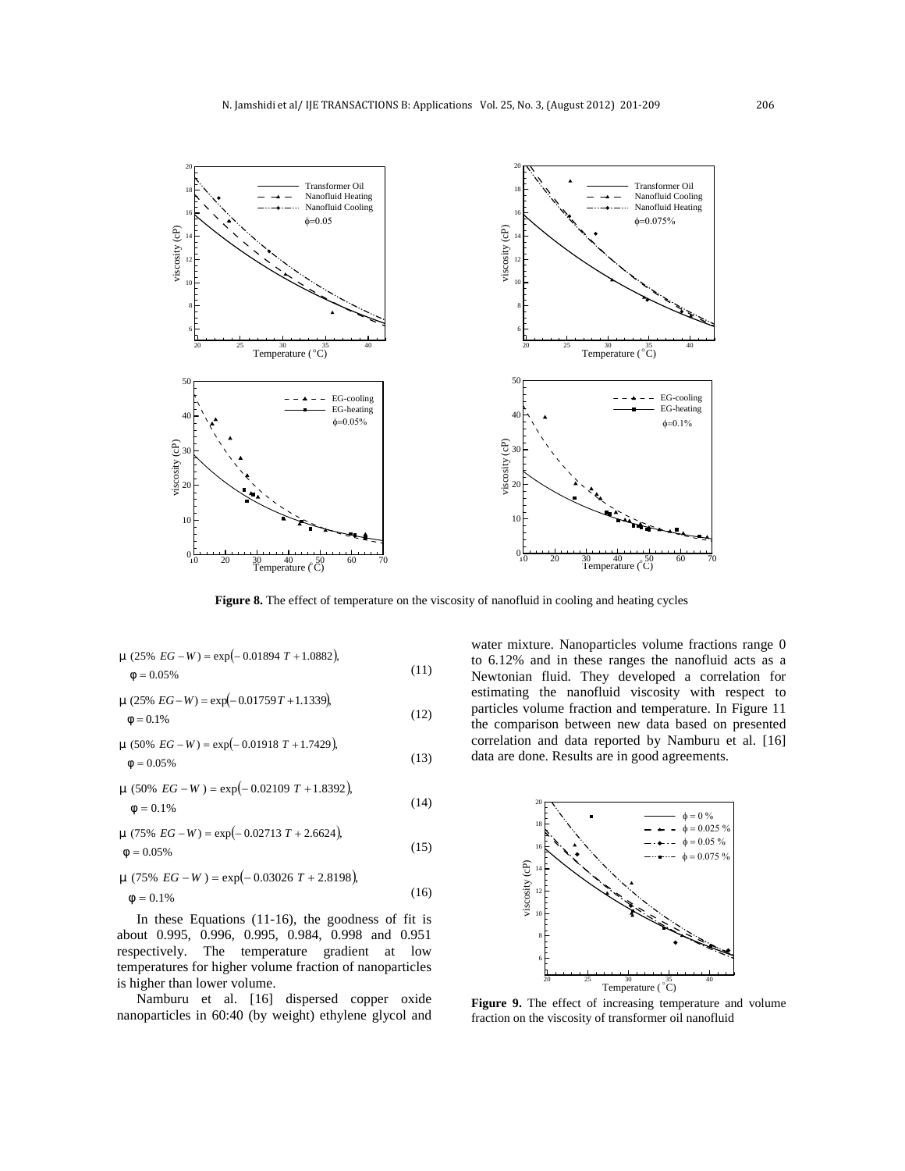

**Figure 8.** The effect of temperature on the viscosity of nanofluid in cooling and heating cycles

$$
\sim (25\% \text{ EG} - W) = \exp(-0.01894 \text{ T} + 1.0882),
$$
  
 
$$
W = 0.05\% \tag{11}
$$

$$
= (25\% EG - W) = \exp(-0.01759T + 1.1339),
$$
\n
$$
= 0.1\% \qquad \text{particle:} \qquad \text{particle:} \qquad \text{the com}
$$

$$
(13) \quad \text{for each } x = 0.05\%
$$
\n
$$
w = 0.05\%
$$
\n
$$
= 0.05\%
$$
\n
$$
= 0.05\%
$$
\n
$$
= 0.05\%
$$
\n
$$
= 0.05\%
$$
\n
$$
= 0.05\%
$$
\n
$$
= 0.05\%
$$

$$
\sim (50\% \ EG - W) = \exp(-0.02109 \ T + 1.8392),
$$
\n
$$
W = 0.1\%
$$
\n(14)

$$
W = 0.05\%
$$
  $EG - W$ ) = exp(-0.02713 T + 2.6624),  
(15)

 0.1% (75% ) exp 0.03026 2.8198 , *EG <sup>W</sup> <sup>T</sup>* (16)

In these Equations (11-16), the goodness of fit is about 0.995, 0.996, 0.995, 0.984, 0.998 and 0.951 respectively. The temperature gradient at low temperatures for higher volume fraction of nanoparticles is higher than lower volume.

Namburu et al. [16] dispersed copper oxide nanoparticles in 60:40 (by weight) ethylene glycol and

 $(25\% \text{ EG}-W) = \exp(-0.01894 \text{ T} + 1.0882)$ , to 6.12% and in these ranges the nanofluid acts as a<br>w = 0.05% (11) Newtonian fluid. They developed a correlation for 0.05% Newtonian fluid. They developed a correlation for  $(-0.01759T + 1.1339)$  estimating the nanofluid viscosity with respect to  $(12)$  The comparison between new data based on presented  $(x = 0.1\%) = \exp(-0.01759T + 1.1339)$ <br>  $w = 0.1\%$ <br>  $w = 0.1\%$   $(12)$ <br>  $y = 0.1\%$ <br>  $y = 0.1\%$ <br>  $y = 0.1\%$ <br>  $y = 0.1\%$ <br>  $y = 0.1\%$ <br>  $y = 0.1\%$ <br>  $y = 0.1\%$  $(50\% EG-W) = \exp(-0.01918 T + 1.7429)$  correlation and data reported by Namburu et al. [16] water mixture. Nanoparticles volume fractions range 0



**Figure 9.** The effect of increasing temperature and volume fraction on the viscosity of transformer oil nanofluid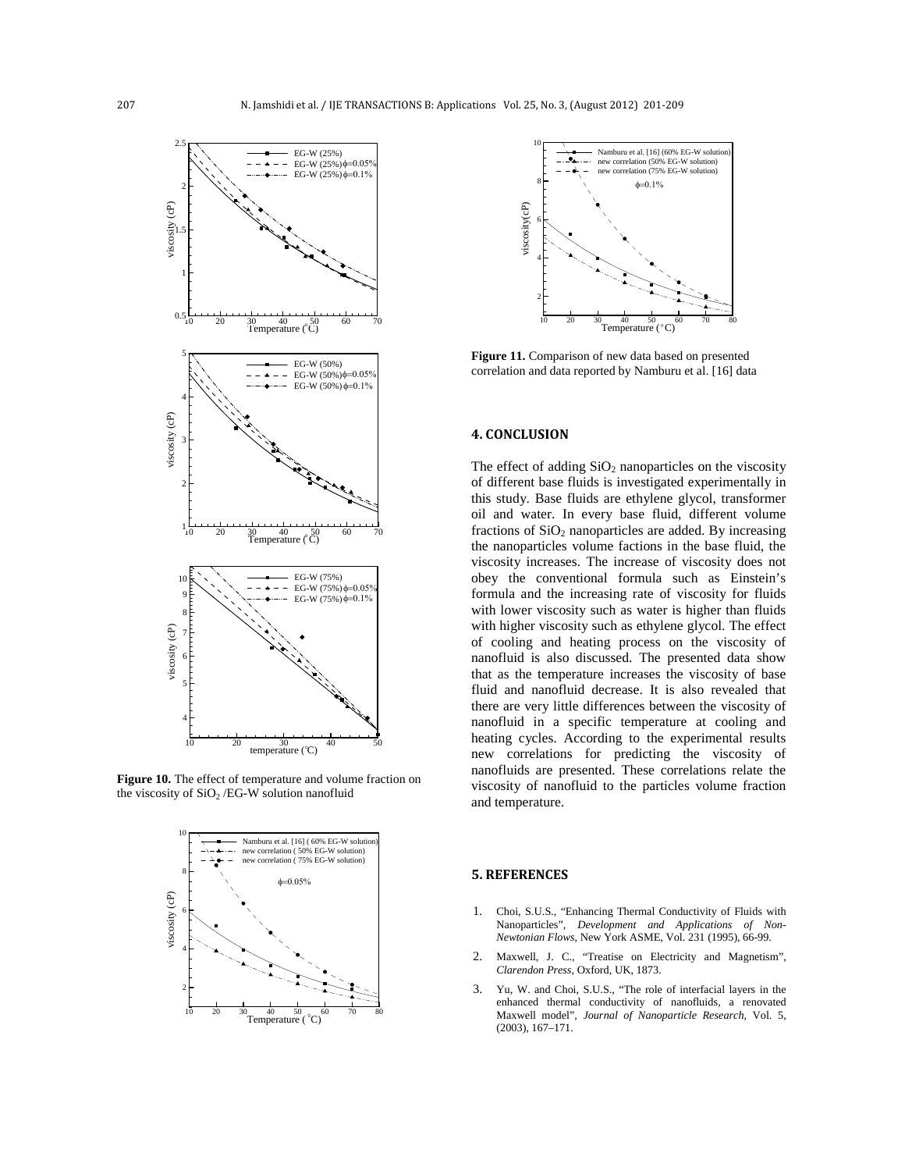

**Figure 10.** The effect of temperature and volume fraction on the viscosity of  $SiO<sub>2</sub> / EG-W$  solution nanofluid





EG-W (50%)<br>
EG-W (50%) $\phi$ =0.05% **Figure 11.**Comparison of new data based on presented

### **4. CONCLUSION**

 $\begin{pmatrix} 1 & 1 & 1 \\ 0 & 0 & 0 \end{pmatrix}$  the nanoparticles volume factions in the base fluid, the  $10 \leq x \leq 10 \leq x \leq 10$  obey the conventional formula such as Einstein's EG-W(75%) $\phi$ =0.05%<br>EG-W(75%) $\phi$ =0.1% <sup> $\infty$ </sup> new correlations for predicting the viscosity of The effect of adding  $SiO<sub>2</sub>$  nanoparticles on the viscosity of different base fluids is investigated experimentally in this study. Base fluids are ethylene glycol, transformer oil and water. In every base fluid, different volume fractions of  $SiO<sub>2</sub>$  nanoparticles are added. By increasing viscosity increases. The increase of viscosity does not with lower viscosity such as water is higher than fluids with higher viscosity such as ethylene glycol. The effect of cooling and heating process on the viscosity of nanofluid is also discussed. The presented data show that as the temperature increases the viscosity of base fluid and nanofluid decrease. It is also revealed that there are very little differences between the viscosity of nanofluid in a specific temperature at cooling and heating cycles. According to the experimental results nanofluids are presented. These correlations relate the viscosity of nanofluid to the particles volume fraction and temperature.

### **5. REFERENCES**

- 1. Choi, S.U.S., "Enhancing Thermal Conductivity of Fluids with Nanoparticles", *Development and Applications of Non- Newtonian Flows,* New York ASME, Vol. 231 (1995), 66-99.
- 2. Maxwell, J. C., "Treatise on Electricity and Magnetism", *Clarendon Press*, Oxford, UK, 1873.
- 3. Yu, W. and Choi, S.U.S., "The role of interfacial layers in the enhanced thermal conductivity of nanofluids, a renovated Maxwell model", *Journal of Nanoparticle Research*, Vol. 5, (2003), 167–171.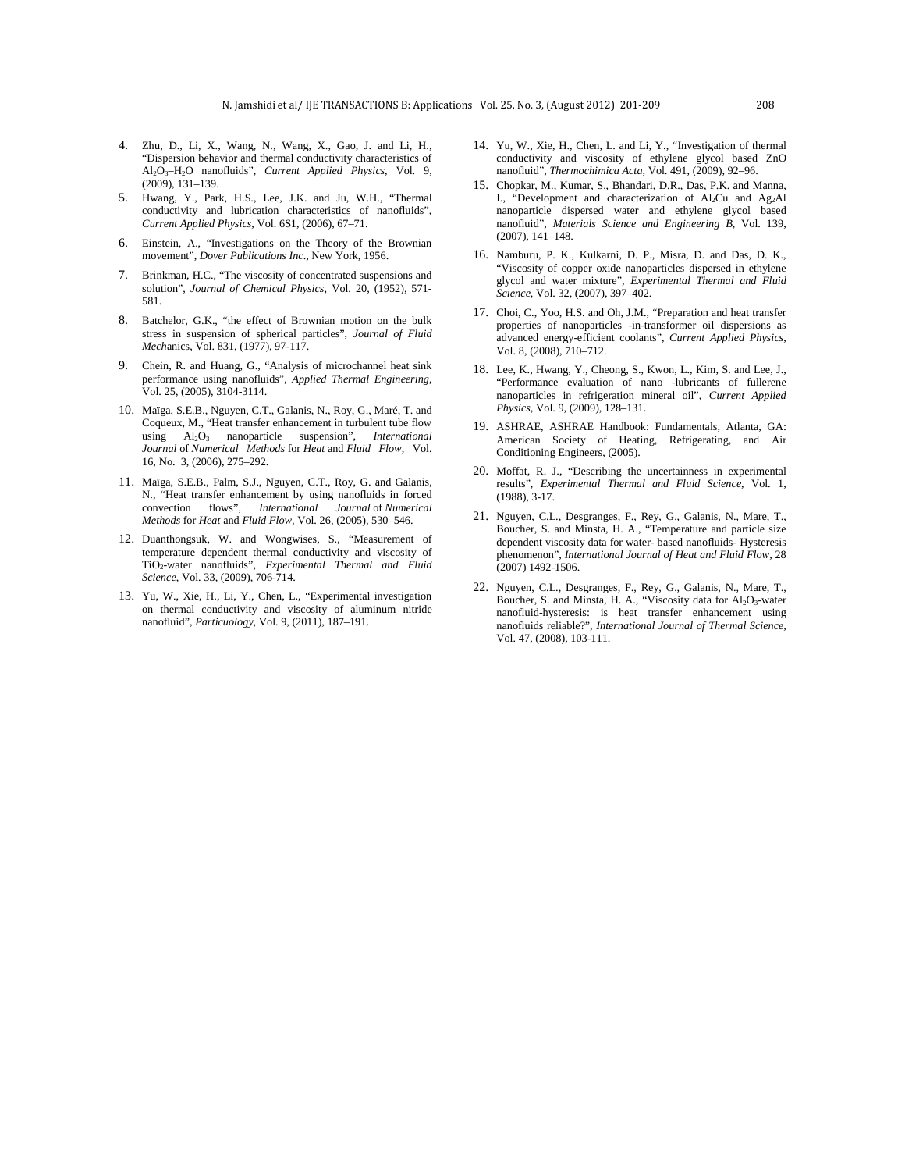- 4. Zhu, D., Li, X., Wang, N., Wang, X., Gao, J. and Li, H., "Dispersion behavior and thermal conductivity characteristics of Al2O3–H2O nanofluids", *Current Applied Physics*, Vol. 9, (2009), 131–139.
- 5. Hwang, Y., Park, H.S., Lee, J.K. and Ju, W.H., "Thermal conductivity and lubrication characteristics of nanofluids", *Current Applied Physics*, Vol. 6S1, (2006), 67–71.
- 6. Einstein, A., "Investigations on the Theory of the Brownian movement", *Dover Publications Inc*., New York, 1956.
- 7. Brinkman, H.C., "The viscosity of concentrated suspensions and solution", *Journal of Chemical Physics*, Vol. 20, (1952), 571- 581.
- 8. Batchelor, G.K., "the effect of Brownian motion on the bulk stress in suspension of spherical particles", *Journal of Fluid Mech*anics, Vol. 831, (1977), 97-117.
- 9. Chein, R. and Huang, G., "Analysis of microchannel heat sink performance using nanofluids", *Applied Thermal Engineering*, Vol. 25, (2005), 3104-3114.
- 10. Maïga, S.E.B., Nguyen, C.T., Galanis, N., Roy, G., Maré, T. and Coqueux, M., "Heat transfer enhancement in turbulent tube flow using Al2O<sup>3</sup> nanoparticle suspension", *International Journal* of *Numerical Methods* for *Heat* and *Fluid Flow*, Vol. 16, No. 3, (2006), 275–292.
- 11. Maïga, S.E.B., Palm, S.J., Nguyen, C.T., Roy, G. and Galanis, N., "Heat transfer enhancement by using nanofluids in forced convection flows", *International Journal* of *Numerical Methods* for *Heat* and *Fluid Flow,* Vol. 26, (2005), 530–546.
- 12. Duanthongsuk, W. and Wongwises, S., "Measurement of temperature dependent thermal conductivity and viscosity of TiO2-water nanofluids", *Experimental Thermal and Fluid Science*, Vol. 33, (2009), 706-714.
- 13. Yu, W., Xie, H., Li, Y., Chen, L., "Experimental investigation on thermal conductivity and viscosity of aluminum nitride nanofluid", *Particuology*, Vol. 9, (2011), 187–191.
- 14. Yu, W., Xie, H., Chen, L. and Li, Y., "Investigation of thermal conductivity and viscosity of ethylene glycol based ZnO nanofluid", *Thermochimica Acta,* Vol. 491, (2009), 92–96.
- 15. Chopkar, M., Kumar, S., Bhandari, D.R., Das, P.K. and Manna, I., "Development and characterization of  $Al_2Cu$  and  $Ag_2Al$ nanoparticle dispersed water and ethylene glycol based nanofluid", *Materials Science and Engineering B,* Vol. 139, (2007), 141–148.
- 16. Namburu, P. K., Kulkarni, D. P., Misra, D. and Das, D. K., "Viscosity of copper oxide nanoparticles dispersed in ethylene glycol and water mixture", *Experimental Thermal and Fluid Science*, Vol. 32, (2007), 397–402.
- 17. Choi, C., Yoo, H.S. and Oh, J.M., "Preparation and heat transfer properties of nanoparticles -in-transformer oil dispersions as advanced energy-efficient coolants", *Current Applied Physics*, Vol. 8, (2008), 710–712.
- 18. Lee, K., Hwang, Y., Cheong, S., Kwon, L., Kim, S. and Lee, J., "Performance evaluation of nano -lubricants of fullerene nanoparticles in refrigeration mineral oil", *Current Applied Physics,* Vol. 9, (2009), 128–131.
- 19. ASHRAE, ASHRAE Handbook: Fundamentals, Atlanta, GA: American Society of Heating, Refrigerating, and Air Conditioning Engineers, (2005).
- 20. Moffat, R. J., "Describing the uncertainness in experimental results", *Experimental Thermal and Fluid Science*, Vol. 1, (1988), 3-17.
- 21. Nguyen, C.L., Desgranges, F., Rey, G., Galanis, N., Mare, T., Boucher, S. and Minsta, H. A., "Temperature and particle size dependent viscosity data for water- based nanofluids- Hysteresis phenomenon", *International Journal of Heat and Fluid Flow,* 28 (2007) 1492-1506.
- 22. Nguyen, C.L., Desgranges, F., Rey, G., Galanis, N., Mare, T., Boucher, S. and Minsta, H. A., "Viscosity data for  $Al_2O_3$ -water nanofluid-hysteresis: is heat transfer enhancement using nanofluids reliable?", *International Journal of Thermal Science,* Vol. 47, (2008), 103-111.